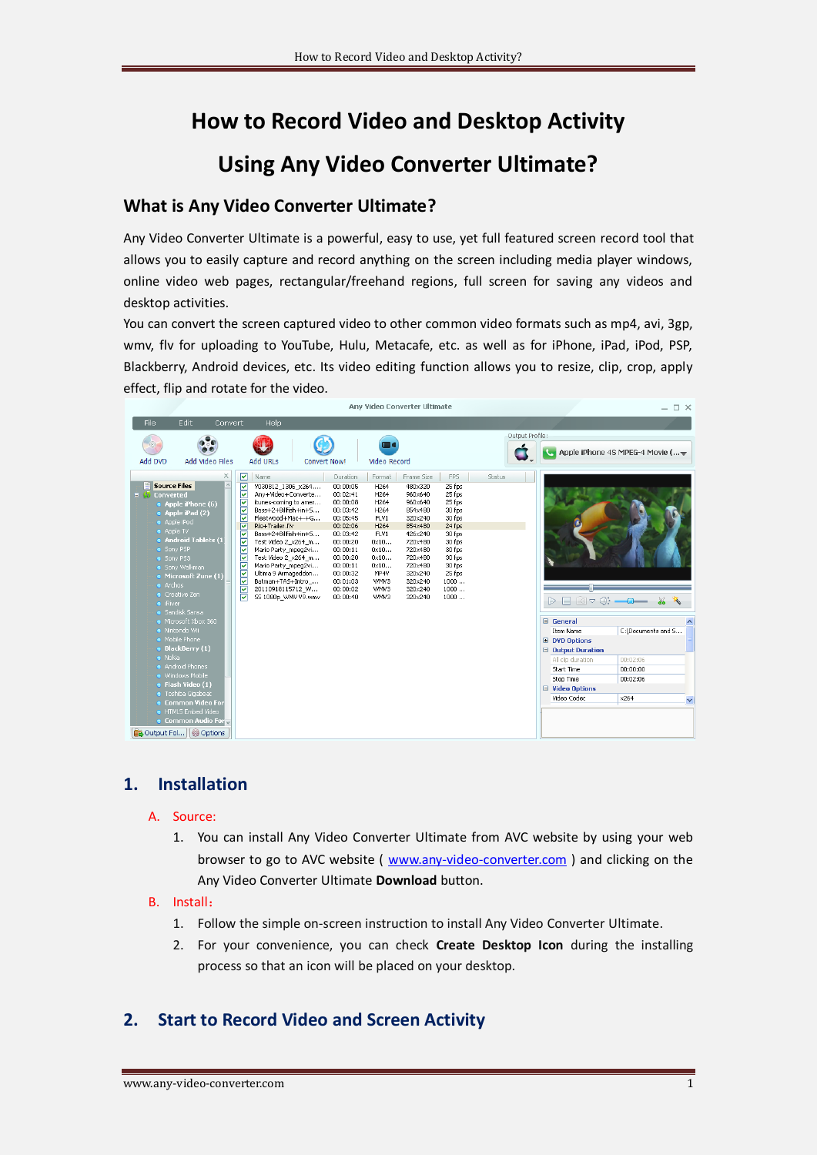# **How to Record Video and Desktop Activity**

# **Using Any Video Converter Ultimate?**

# **What is Any Video Converter Ultimate?**

Any Video Converter Ultimate is a powerful, easy to use, yet full featured screen record tool that allows you to easily capture and record anything on the screen including media player windows, online video web pages, rectangular/freehand regions, full screen for saving any videos and desktop activities.

You can convert the screen captured video to other common video formats such as mp4, avi, 3gp, wmv, flv for uploading to YouTube, Hulu, Metacafe, etc. as well as for iPhone, iPad, iPod, PSP, Blackberry, Android devices, etc. Its video editing function allows you to resize, clip, crop, apply effect, flip and rotate for the video.



## **1. Installation**

#### A. Source:

1. You can install Any Video Converter Ultimate from AVC website by using your web browser to go to AVC website ( [www.any-video-converter.com](http://www.any-video-converter.com/) ) and clicking on the Any Video Converter Ultimate **Download** button.

#### B. Install:

- 1. Follow the simple on-screen instruction to install Any Video Converter Ultimate.
- 2. For your convenience, you can check **Create Desktop Icon** during the installing process so that an icon will be placed on your desktop.

## **2. Start to Record Video and Screen Activity**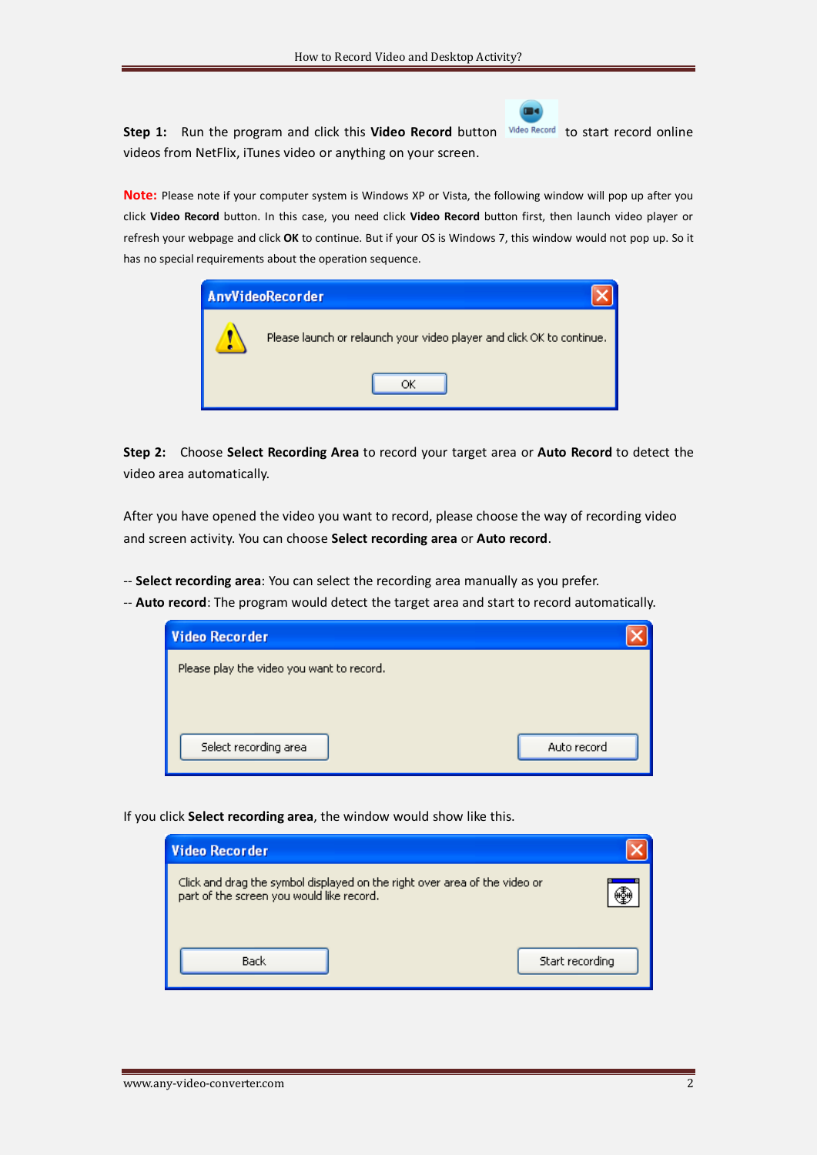Step 1: Run the program and click this Video Record button Wideo Record to start record online videos from NetFlix, iTunes video or anything on your screen.

 $\blacksquare$ 

**Note:** Please note if your computer system is Windows XP or Vista, the following window will pop up after you click **Video Record** button. In this case, you need click **Video Record** button first, then launch video player or refresh your webpage and click **OK** to continue. But if your OS is Windows 7, this window would not pop up. So it has no special requirements about the operation sequence.



**Step 2:** Choose **Select Recording Area** to record your target area or **Auto Record** to detect the video area automatically.

After you have opened the video you want to record, please choose the way of recording video and screen activity. You can choose **Select recording area** or **Auto record**.

-- **Select recording area**: You can select the recording area manually as you prefer.

-- **Auto record**: The program would detect the target area and start to record automatically.

| Video Recorder                            |             |
|-------------------------------------------|-------------|
| Please play the video you want to record. |             |
|                                           |             |
|                                           |             |
| Select recording area                     | Auto record |

If you click **Select recording area**, the window would show like this.

| <b>Video Recorder</b>                                                                                                   |                 |  |
|-------------------------------------------------------------------------------------------------------------------------|-----------------|--|
| Click and drag the symbol displayed on the right over area of the video or<br>part of the screen you would like record. |                 |  |
| Back                                                                                                                    | Start recording |  |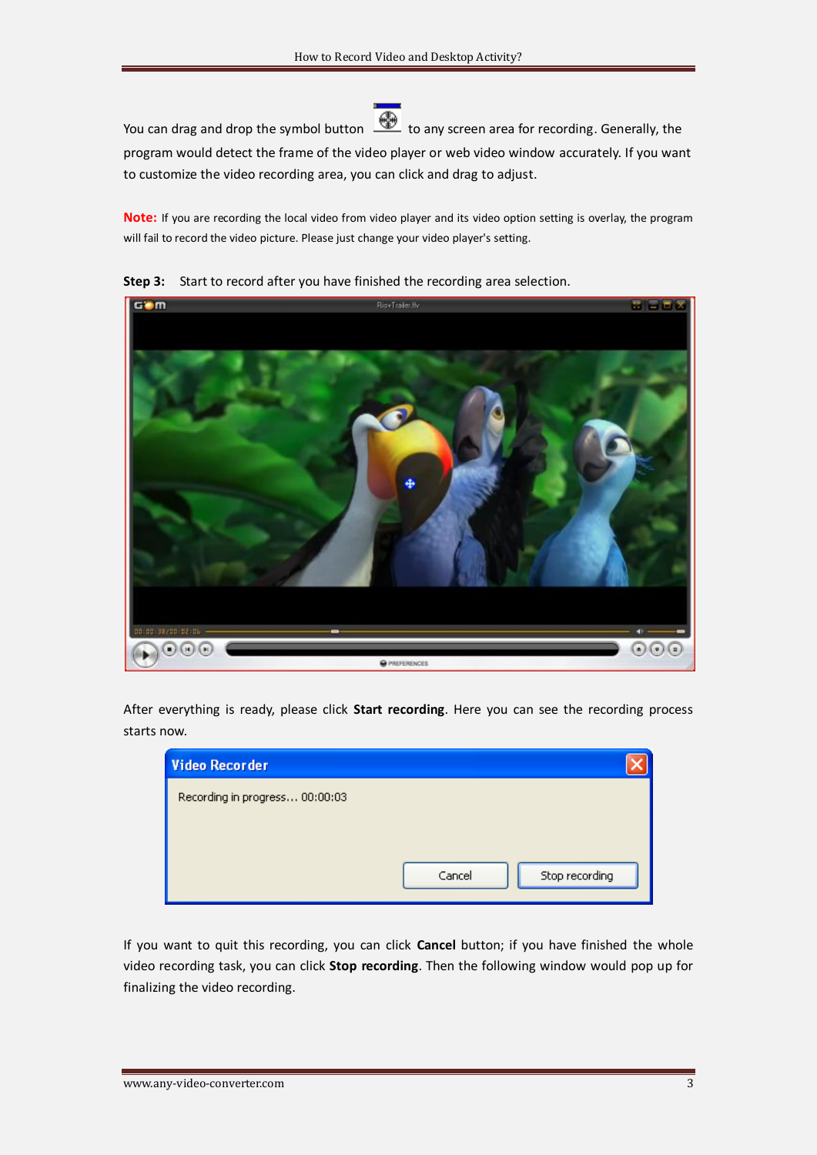You can drag and drop the symbol button  $\bigcirc$  to any screen area for recording. Generally, the program would detect the frame of the video player or web video window accurately. If you want to customize the video recording area, you can click and drag to adjust.

**Note:** If you are recording the local video from video player and its video option setting is overlay, the program will fail to record the video picture. Please just change your video player's setting.



**Step 3:** Start to record after you have finished the recording area selection.

After everything is ready, please click **Start recording**. Here you can see the recording process starts now.

| <b>Video Recorder</b>          |                          |
|--------------------------------|--------------------------|
| Recording in progress 00:00:03 |                          |
|                                |                          |
|                                |                          |
|                                | Stop recording<br>Cancel |
|                                |                          |

If you want to quit this recording, you can click **Cancel** button; if you have finished the whole video recording task, you can click **Stop recording**. Then the following window would pop up for finalizing the video recording.